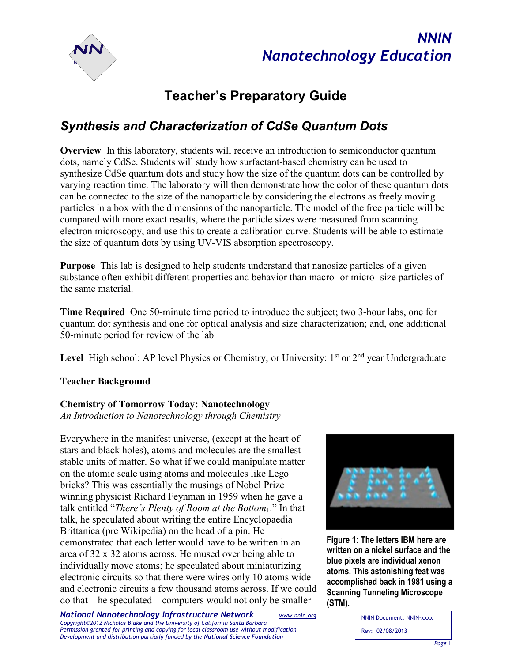



# **Teacher's Preparatory Guide**

# *Synthesis and Characterization of CdSe Quantum Dots*

**Overview** In this laboratory, students will receive an introduction to semiconductor quantum dots, namely CdSe. Students will study how surfactant-based chemistry can be used to synthesize CdSe quantum dots and study how the size of the quantum dots can be controlled by varying reaction time. The laboratory will then demonstrate how the color of these quantum dots can be connected to the size of the nanoparticle by considering the electrons as freely moving particles in a box with the dimensions of the nanoparticle. The model of the free particle will be compared with more exact results, where the particle sizes were measured from scanning electron microscopy, and use this to create a calibration curve. Students will be able to estimate the size of quantum dots by using UV-VIS absorption spectroscopy.

**Purpose** This lab is designed to help students understand that nanosize particles of a given substance often exhibit different properties and behavior than macro- or micro- size particles of the same material.

**Time Required** One 50-minute time period to introduce the subject; two 3-hour labs, one for quantum dot synthesis and one for optical analysis and size characterization; and, one additional 50-minute period for review of the lab

Level High school: AP level Physics or Chemistry; or University: 1<sup>st</sup> or 2<sup>nd</sup> year Undergraduate

# **Teacher Background**

# **Chemistry of Tomorrow Today: Nanotechnology**

*An Introduction to Nanotechnology through Chemistry*

Everywhere in the manifest universe, (except at the heart of stars and black holes), atoms and molecules are the smallest stable units of matter. So what if we could manipulate matter on the atomic scale using atoms and molecules like Lego bricks? This was essentially the musings of Nobel Prize winning physicist Richard Feynman in 1959 when he gave a talk entitled "*There's Plenty of Room at the Bottom*1." In that talk, he speculated about writing the entire Encyclopaedia Brittanica (pre Wikipedia) on the head of a pin. He demonstrated that each letter would have to be written in an area of 32 x 32 atoms across. He mused over being able to individually move atoms; he speculated about miniaturizing electronic circuits so that there were wires only 10 atoms wide and electronic circuits a few thousand atoms across. If we could do that—he speculated—computers would not only be smaller

**Figure 1: The letters IBM here are written on a nickel surface and the blue pixels are individual xenon atoms. This astonishing feat was accomplished back in 1981 using a Scanning Tunneling Microscope (STM).**

NNIN Document: NNIN-xxxx Rev: 02/08/2013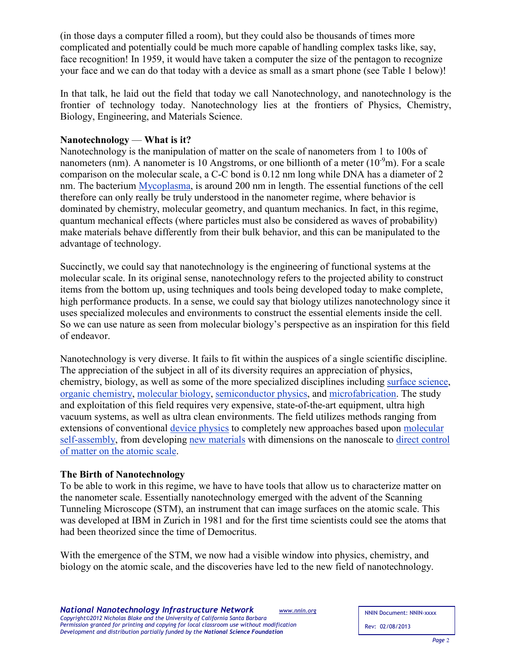(in those days a computer filled a room), but they could also be thousands of times more complicated and potentially could be much more capable of handling complex tasks like, say, face recognition! In 1959, it would have taken a computer the size of the pentagon to recognize your face and we can do that today with a device as small as a smart phone (see Table 1 below)!

In that talk, he laid out the field that today we call Nanotechnology, and nanotechnology is the frontier of technology today. Nanotechnology lies at the frontiers of Physics, Chemistry, Biology, Engineering, and Materials Science.

# **Nanotechnology** — **What is it?**

Nanotechnology is the manipulation of matter on the scale of nanometers from 1 to 100s of nanometers (nm). A nanometer is 10 Angstroms, or one billionth of a meter  $(10^{-9}m)$ . For a scale comparison on the molecular scale, a C-C bond is 0.12 nm long while DNA has a diameter of 2 nm. The bacterium [Mycoplasma,](http://en.wikipedia.org/wiki/Mycoplasma) is around 200 nm in length. The essential functions of the cell therefore can only really be truly understood in the nanometer regime, where behavior is dominated by chemistry, molecular geometry, and quantum mechanics. In fact, in this regime, quantum mechanical effects (where particles must also be considered as waves of probability) make materials behave differently from their bulk behavior, and this can be manipulated to the advantage of technology.

Succinctly, we could say that nanotechnology is the engineering of functional systems at the molecular scale. In its original sense, nanotechnology refers to the projected ability to construct items from the bottom up, using techniques and tools being developed today to make complete, high performance products. In a sense, we could say that biology utilizes nanotechnology since it uses specialized molecules and environments to construct the essential elements inside the cell. So we can use nature as seen from molecular biology's perspective as an inspiration for this field of endeavor.

Nanotechnology is very diverse. It fails to fit within the auspices of a single scientific discipline. The appreciation of the subject in all of its diversity requires an appreciation of physics, chemistry, biology, as well as some of the more specialized disciplines including [surface science](http://en.wikipedia.org/wiki/Surface_science)[,](http://en.wikipedia.org/wiki/Organic_chemistry) [organic chemistry,](http://en.wikipedia.org/wiki/Organic_chemistry) [molecular biology,](http://en.wikipedia.org/wiki/Molecular_biology) [semiconductor physics,](http://en.wikipedia.org/wiki/Semiconductor_physics) [and microfabrication.](http://en.wikipedia.org/wiki/Microfabrication) The study and exploitation of this field requires very expensive, state-of-the-art equipment, ultra high vacuum systems, as well as ultra clean environments. The field utilizes methods ranging from extensions of conventional [device physics](http://en.wikipedia.org/wiki/Semiconductor_device) to completely new approaches based upon [molecular](http://en.wikipedia.org/wiki/Molecular_self-assembly)  [self-assembly,](http://en.wikipedia.org/wiki/Molecular_self-assembly) from developing [new materials](http://en.wikipedia.org/wiki/Nanomaterials) with dimensions on the nanoscale to [direct control](http://en.wikipedia.org/wiki/Molecular_nanotechnology)  [of matter on the atomic scale.](http://en.wikipedia.org/wiki/Molecular_nanotechnology)

# **The Birth of Nanotechnology**

To be able to work in this regime, we have to have tools that allow us to characterize matter on the nanometer scale. Essentially nanotechnology emerged with the advent of the Scanning Tunneling Microscope (STM), an instrument that can image surfaces on the atomic scale. This was developed at IBM in Zurich in 1981 and for the first time scientists could see the atoms that had been theorized since the time of Democritus.

With the emergence of the STM, we now had a visible window into physics, chemistry, and biology on the atomic scale, and the discoveries have led to the new field of nanotechnology.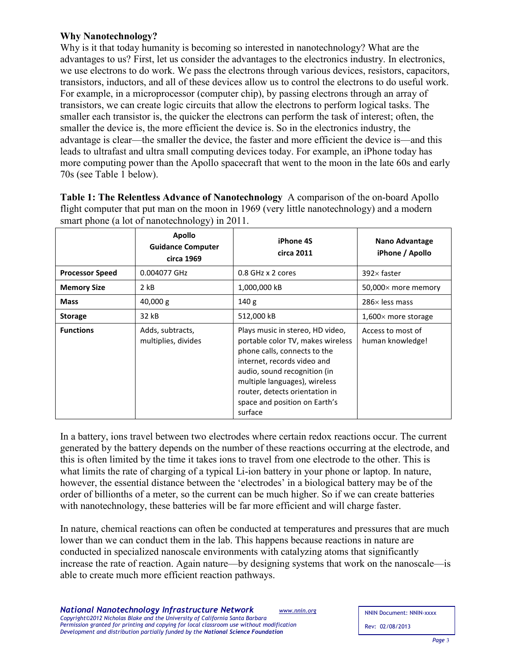# **Why Nanotechnology?**

Why is it that today humanity is becoming so interested in nanotechnology? What are the advantages to us? First, let us consider the advantages to the electronics industry. In electronics, we use electrons to do work. We pass the electrons through various devices, resistors, capacitors, transistors, inductors, and all of these devices allow us to control the electrons to do useful work. For example, in a microprocessor (computer chip), by passing electrons through an array of transistors, we can create logic circuits that allow the electrons to perform logical tasks. The smaller each transistor is, the quicker the electrons can perform the task of interest; often, the smaller the device is, the more efficient the device is. So in the electronics industry, the advantage is clear—the smaller the device, the faster and more efficient the device is—and this leads to ultrafast and ultra small computing devices today. For example, an iPhone today has more computing power than the Apollo spacecraft that went to the moon in the late 60s and early 70s (see Table 1 below).

| flight computer that put man on the moon in 1969 (very little nanotechnology) and a modern<br>smart phone (a lot of nanotechnology) in 2011. |                                                         |                                                                                                                                                                                                                                                                                     |                                       |  |
|----------------------------------------------------------------------------------------------------------------------------------------------|---------------------------------------------------------|-------------------------------------------------------------------------------------------------------------------------------------------------------------------------------------------------------------------------------------------------------------------------------------|---------------------------------------|--|
|                                                                                                                                              | <b>Apollo</b><br><b>Guidance Computer</b><br>circa 1969 | iPhone 4S<br>circa 2011                                                                                                                                                                                                                                                             | Nano Advantage<br>iPhone / Apollo     |  |
| <b>Processor Speed</b>                                                                                                                       | 0.004077 GHz                                            | 0.8 GHz x 2 cores                                                                                                                                                                                                                                                                   | $392\times$ faster                    |  |
| <b>Memory Size</b>                                                                                                                           | $2$ kB                                                  | 1,000,000 kB                                                                                                                                                                                                                                                                        | 50,000× more memory                   |  |
| <b>Mass</b>                                                                                                                                  | 40,000 g                                                | 140 <sub>g</sub>                                                                                                                                                                                                                                                                    | $286\times$ less mass                 |  |
| <b>Storage</b>                                                                                                                               | 32 kB                                                   | 512,000 kB                                                                                                                                                                                                                                                                          | $1,600\times$ more storage            |  |
| <b>Functions</b>                                                                                                                             | Adds, subtracts,<br>multiplies, divides                 | Plays music in stereo, HD video,<br>portable color TV, makes wireless<br>phone calls, connects to the<br>internet, records video and<br>audio, sound recognition (in<br>multiple languages), wireless<br>router, detects orientation in<br>space and position on Earth's<br>surface | Access to most of<br>human knowledge! |  |

**Table 1: The Relentless Advance of Nanotechnology** A comparison of the on-board Apollo flight computer that put man on the moon in 1969 (very little nanotechnology) and a modern

In a battery, ions travel between two electrodes where certain redox reactions occur. The current generated by the battery depends on the number of these reactions occurring at the electrode, and this is often limited by the time it takes ions to travel from one electrode to the other. This is what limits the rate of charging of a typical Li-ion battery in your phone or laptop. In nature, however, the essential distance between the 'electrodes' in a biological battery may be of the order of billionths of a meter, so the current can be much higher. So if we can create batteries with nanotechnology, these batteries will be far more efficient and will charge faster.

In nature, chemical reactions can often be conducted at temperatures and pressures that are much lower than we can conduct them in the lab. This happens because reactions in nature are conducted in specialized nanoscale environments with catalyzing atoms that significantly increase the rate of reaction. Again nature—by designing systems that work on the nanoscale—is able to create much more efficient reaction pathways.

NNIN Document: NNIN-xxxx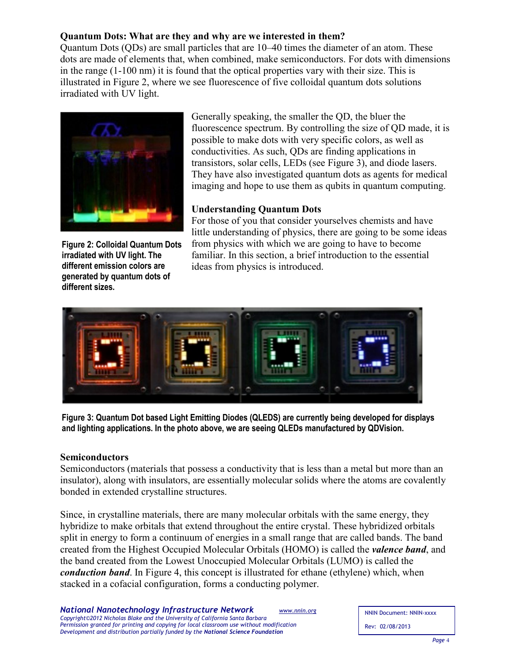# **Quantum Dots: What are they and why are we interested in them?**

Quantum Dots (QDs) are small particles that are 10–40 times the diameter of an atom. These dots are made of elements that, when combined, make semiconductors. For dots with dimensions in the range (1-100 nm) it is found that the optical properties vary with their size. This is illustrated in Figure 2, where we see fluorescence of five colloidal quantum dots solutions irradiated with UV light.



**Figure 2: Colloidal Quantum Dots irradiated with UV light. The different emission colors are generated by quantum dots of different sizes.**

Generally speaking, the smaller the QD, the bluer the fluorescence spectrum. By controlling the size of QD made, it is possible to make dots with very specific colors, as well as conductivities. As such, QDs are finding applications in transistors, solar cells, LEDs (see Figure 3), and diode lasers. They have also investigated quantum dots as agents for medical imaging and hope to use them as qubits in quantum computing.

# **Understanding Quantum Dots**

For those of you that consider yourselves chemists and have little understanding of physics, there are going to be some ideas from physics with which we are going to have to become familiar. In this section, a brief introduction to the essential ideas from physics is introduced.



**Figure 3: Quantum Dot based Light Emitting Diodes (QLEDS) are currently being developed for displays and lighting applications. In the photo above, we are seeing QLEDs manufactured by QDVision.**

# **Semiconductors**

Semiconductors (materials that possess a conductivity that is less than a metal but more than an insulator), along with insulators, are essentially molecular solids where the atoms are covalently bonded in extended crystalline structures.

Since, in crystalline materials, there are many molecular orbitals with the same energy, they hybridize to make orbitals that extend throughout the entire crystal. These hybridized orbitals split in energy to form a continuum of energies in a small range that are called bands. The band created from the Highest Occupied Molecular Orbitals (HOMO) is called the *valence band*, and the band created from the Lowest Unoccupied Molecular Orbitals (LUMO) is called the *conduction band*. In Figure 4, this concept is illustrated for ethane (ethylene) which, when stacked in a cofacial configuration, forms a conducting polymer.

NNIN Document: NNIN-xxxx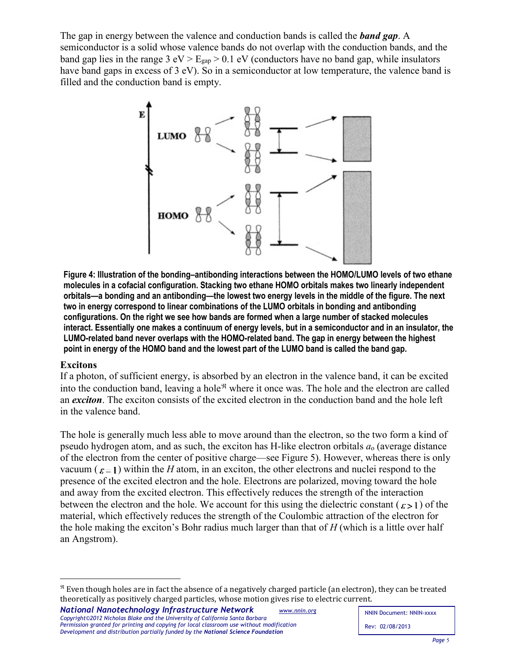The gap in energy between the valence and conduction bands is called the *band gap*. A semiconductor is a solid whose valence bands do not overlap with the conduction bands, and the band gap lies in the range  $3 eV > E_{\text{gap}} > 0.1 eV$  (conductors have no band gap, while insulators have band gaps in excess of 3 eV). So in a semiconductor at low temperature, the valence band is filled and the conduction band is empty.



**Figure 4: Illustration of the bonding–antibonding interactions between the HOMO/LUMO levels of two ethane molecules in a cofacial configuration. Stacking two ethane HOMO orbitals makes two linearly independent orbitals—a bonding and an antibonding—the lowest two energy levels in the middle of the figure. The next two in energy correspond to linear combinations of the LUMO orbitals in bonding and antibonding configurations. On the right we see how bands are formed when a large number of stacked molecules interact. Essentially one makes a continuum of energy levels, but in a semiconductor and in an insulator, the LUMO-related band never overlaps with the HOMO-related band. The gap in energy between the highest point in energy of the HOMO band and the lowest part of the LUMO band is called the band gap.**

### **Excitons**

 $\overline{a}$ 

If a photon, of sufficient energy, is absorbed by an electron in the valence band, it can be excited into the conduction band, leaving a hole $\mathcal{R}$  where it once was. The hole and the electron are called an *exciton*. The exciton consists of the excited electron in the conduction band and the hole left in the valence band.

The hole is generally much less able to move around than the electron, so the two form a kind of pseudo hydrogen atom, and as such, the exciton has H-like electron orbitals *a*<sup>o</sup> (average distance of the electron from the center of positive charge—see Figure 5). However, whereas there is only vacuum ( $\varepsilon = 1$ ) within the *H* atom, in an exciton, the other electrons and nuclei respond to the presence of the excited electron and the hole. Electrons are polarized, moving toward the hole and away from the excited electron. This effectively reduces the strength of the interaction between the electron and the hole. We account for this using the dielectric constant ( $\epsilon > 1$ ) of the material, which effectively reduces the strength of the Coulombic attraction of the electron for the hole making the exciton's Bohr radius much larger than that of *H* (which is a little over half an Angstrom).

<span id="page-4-0"></span> $\Re$  Even though holes are in fact the absence of a negatively charged particle (an electron), they can be treated theoretically as positively charged particles, whose motion gives rise to electric current.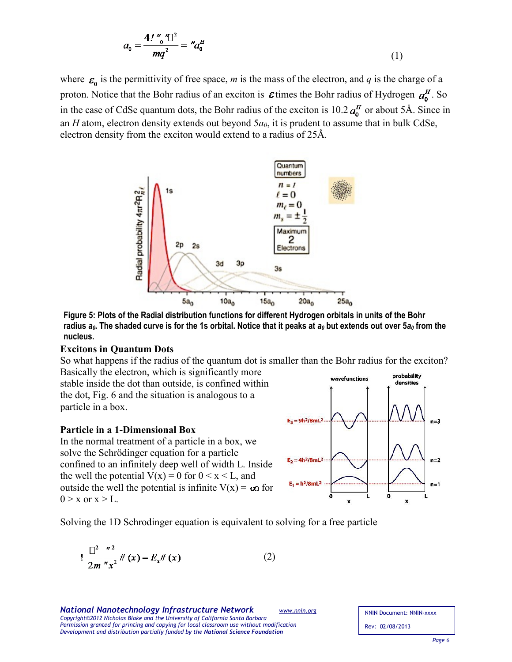$$
a_0 = \frac{4! \, \text{`` } 0 \, \text{''} \, \text{''}}{mq^2} = \, \text{''} a_0^H \tag{1}
$$

where  $\varepsilon_n$  is the permittivity of free space, *m* is the mass of the electron, and *q* is the charge of a proton. Notice that the Bohr radius of an exciton is  $\varepsilon$  times the Bohr radius of Hydrogen  $a_n^H$ . So in the case of CdSe quantum dots, the Bohr radius of the exciton is  $10.2 \mathbf{a}_0^H$  or about 5Å. Since in an *H* atom, electron density extends out beyond 5*a0*, it is prudent to assume that in bulk CdSe, electron density from the exciton would extend to a radius of 25Å.



**Figure 5: Plots of the Radial distribution functions for different Hydrogen orbitals in units of the Bohr**  radius  $a_0$ . The shaded curve is for the 1s orbital. Notice that it peaks at  $a_0$  but extends out over  $5a_0$  from the **nucleus.**

#### **Excitons in Quantum Dots**

So what happens if the radius of the quantum dot is smaller than the Bohr radius for the exciton? Basically the electron, which is significantly more

stable inside the dot than outside, is confined within the dot, Fig. 6 and the situation is analogous to a particle in a box.

#### **Particle in a 1-Dimensional Box**

In the normal treatment of a particle in a box, we solve the Schrödinger equation for a particle confined to an infinitely deep well of width L. Inside the well the potential  $V(x) = 0$  for  $0 \le x \le L$ , and outside the well the potential is infinite  $V(x) = \infty$  for  $0 > x$  or  $x > L$ .



Solving the 1D Schrodinger equation is equivalent to solving for a free particle

$$
\frac{1}{2m} \frac{1}{2m^2} x^2 \#(x) = E_x \#(x) \tag{2}
$$

*National Nanotechnology Infrastructure Network [www.nnin.org](http://www.nnin.org/) Copyright©2012 Nicholas Blake and the University of California Santa Barbara Permission granted for printing and copying for local classroom use without modification Development and distribution partially funded by the National Science Foundation*

NNIN Document: NNIN-xxxx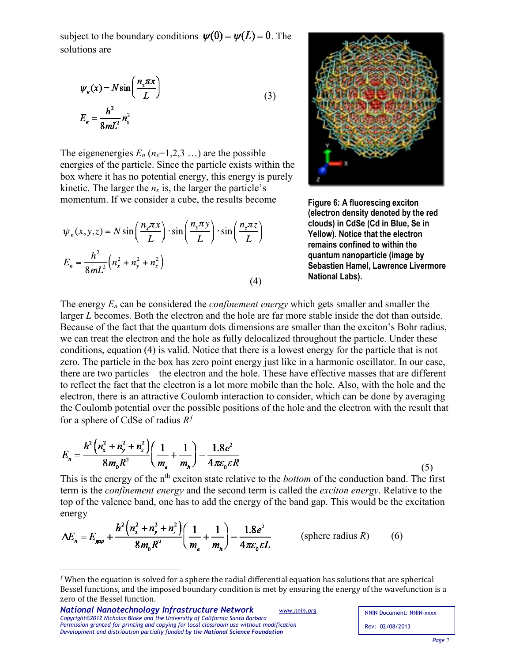subject to the boundary conditions  $\psi(0) = \psi(L) = 0$ . The solutions are

$$
\psi_n(x) = N \sin\left(\frac{n_x \pi x}{L}\right)
$$
  

$$
E_n = \frac{h^2}{8mL^2} n_x^2
$$
 (3)

The eigenenergies  $E_n$  ( $n_x=1,2,3...$ ) are the possible energies of the particle. Since the particle exists within the box where it has no potential energy, this energy is purely kinetic. The larger the  $n_x$  is, the larger the particle's momentum. If we consider a cube, the results become

$$
\psi_n(x, y, z) = N \sin\left(\frac{n_x \pi x}{L}\right) \cdot \sin\left(\frac{n_y \pi y}{L}\right) \cdot \sin\left(\frac{n_z \pi z}{L}\right)
$$

$$
E_n = \frac{h^2}{8mL^2} \left(n_x^2 + n_y^2 + n_z^2\right)
$$
(4)



**Figure 6: A fluorescing exciton (electron density denoted by the red clouds) in CdSe (Cd in Blue, Se in Yellow). Notice that the electron remains confined to within the quantum nanoparticle (image by Sebastien Hamel, Lawrence Livermore National Labs).**

The energy *En* can be considered the *confinement energy* which gets smaller and smaller the larger *L* becomes. Both the electron and the hole are far more stable inside the dot than outside. Because of the fact that the quantum dots dimensions are smaller than the exciton's Bohr radius, we can treat the electron and the hole as fully delocalized throughout the particle. Under these conditions, equation (4) is valid. Notice that there is a lowest energy for the particle that is not zero. The particle in the box has zero point energy just like in a harmonic oscillator. In our case, there are two particles—the electron and the hole. These have effective masses that are different to reflect the fact that the electron is a lot more mobile than the hole. Also, with the hole and the electron, there is an attractive Coulomb interaction to consider, which can be done by averaging the Coulomb potential over the possible positions of the hole and the electron with the result that for a sphere of CdSe of radius  $R<sup>f</sup>$ 

$$
E_n = \frac{h^2 \left(n_x^2 + n_y^2 + n_z^2\right)}{8m_0 R^2} \left(\frac{1}{m_e} + \frac{1}{m_h}\right) - \frac{1.8e^2}{4\pi \varepsilon_0 \varepsilon R}
$$
(5)

This is the energy of the n<sup>th</sup> exciton state relative to the *bottom* of the conduction band. The first term is the *confinement energy* and the second term is called the *exciton energy*. Relative to the top of the valence band, one has to add the energy of the band gap. This would be the excitation energy

$$
\Delta E_n = E_{gap} + \frac{h^2 \left(n_x^2 + n_y^2 + n_z^2\right)}{8m_0 R^2} \left(\frac{1}{m_e} + \frac{1}{m_h}\right) - \frac{1.8e^2}{4\pi \varepsilon_0 \varepsilon L} \qquad \text{(sphere radius } R) \tag{6}
$$

 $\overline{a}$ 

<span id="page-6-0"></span> $<sup>f</sup>$  When the equation is solved for a sphere the radial differential equation has solutions that are spherical</sup> Bessel functions, and the imposed boundary condition is met by ensuring the energy of the wavefunction is a zero of the Bessel function.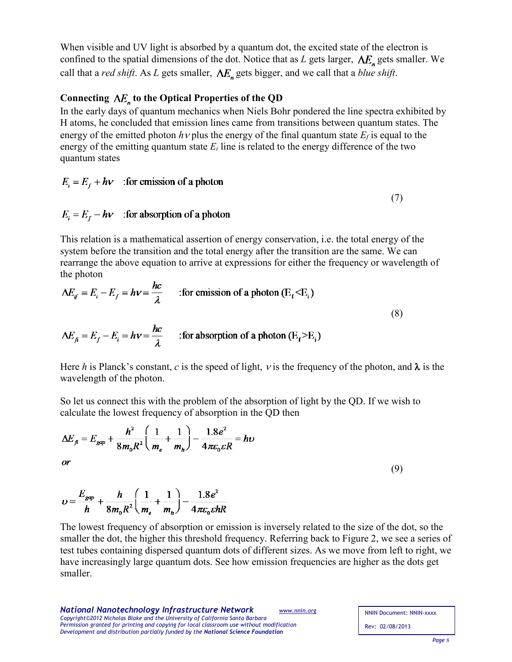When visible and UV light is absorbed by a quantum dot, the excited state of the electron is confined to the spatial dimensions of the dot. Notice that as *L* gets larger,  $\Delta E_n$  gets smaller. We call that a *red shift*. As *L* gets smaller,  $\Delta E_n$  gets bigger, and we call that a *blue shift*.

# Connecting  $\Delta E_n$  to the Optical Properties of the QD

In the early days of quantum mechanics when Niels Bohr pondered the line spectra exhibited by H atoms, he concluded that emission lines came from transitions between quantum states. The energy of the emitted photon  $h$  v plus the energy of the final quantum state  $E_f$  is equal to the energy of the emitting quantum state *Ei* line is related to the energy difference of the two quantum states

$$
E_i = E_f + h\nu
$$
: for emission of a photon

$$
E_i = E_f - h\nu
$$
: for absorption of a photon

This relation is a mathematical assertion of energy conservation, i.e. the total energy of the system before the transition and the total energy after the transition are the same. We can rearrange the above equation to arrive at expressions for either the frequency or wavelength of the photon

$$
\Delta E_{if} = E_{i} - E_{f} = h\nu = \frac{hc}{\lambda}
$$
 :for emission of a photon (E<sub>f</sub> < E<sub>i</sub>)  

$$
\Delta E_{fi} = E_{f} - E_{i} = h\nu = \frac{hc}{\lambda}
$$
 :for absorption of a photon (E<sub>f</sub> > E<sub>i</sub>) (8)

Here *h* is Planck's constant, *c* is the speed of light, *v* is the frequency of the photon, and  $\lambda$  is the wavelength of the photon.

So let us connect this with the problem of the absorption of light by the QD. If we wish to calculate the lowest frequency of absorption in the QD then

$$
\Delta E_{f} = E_{gap} + \frac{h^2}{8m_0R^2} \left(\frac{1}{m_e} + \frac{1}{m_h}\right) - \frac{1.8e^2}{4\pi\varepsilon_0 \varepsilon R} = h\nu
$$
  
or  

$$
E_{em} = h \left(1 - 1\right) + 1.8e^2
$$
 (9)

$$
v = \frac{E_{gap}}{h} + \frac{h}{8m_0R^2} \left( \frac{1}{m_e} + \frac{1}{m_h} \right) - \frac{1.8e^2}{4\pi \varepsilon_0 c h R}
$$

The lowest frequency of absorption or emission is inversely related to the size of the dot, so the smaller the dot, the higher this threshold frequency. Referring back to Figure 2, we see a series of test tubes containing dispersed quantum dots of different sizes. As we move from left to right, we have increasingly large quantum dots. See how emission frequencies are higher as the dots get smaller.

*National Nanotechnology Infrastructure Network [www.nnin.org](http://www.nnin.org/) Copyright©2012 Nicholas Blake and the University of California Santa Barbara Permission granted for printing and copying for local classroom use without modification Development and distribution partially funded by the National Science Foundation*

(7)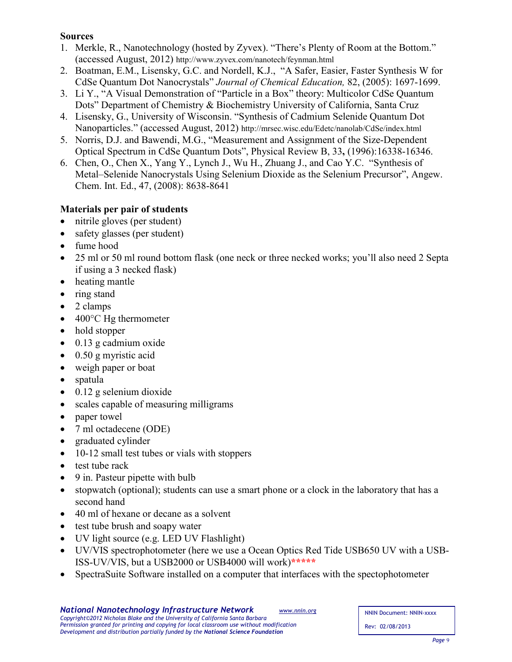# **Sources**

- 1. Merkle, R., Nanotechnology (hosted by Zyvex). "There's Plenty of Room at the Bottom." (accessed August, 2012) http://www.zyvex.com/nanotech/feynman.html
- 2. Boatman, E.M., Lisensky, G.C. and Nordell, K.J., "A Safer, Easier, Faster Synthesis W for CdSe Quantum Dot Nanocrystals" *Journal of Chemical Education,* 82, (2005): 1697-1699.
- 3. Li Y., "A Visual Demonstration of "Particle in a Box" theory: Multicolor CdSe Quantum Dots" Department of Chemistry & Biochemistry University of California, Santa Cruz
- 4. Lisensky, G., University of Wisconsin. "Synthesis of Cadmium Selenide Quantum Dot Nanoparticles." (accessed August, 2012) http://mrsec.wisc.edu/Edetc/nanolab/CdSe/index.html
- 5. Norris, D.J. and Bawendi, M.G., "Measurement and Assignment of the Size-Dependent Optical Spectrum in CdSe Quantum Dots", Physical Review B, 33**,** (1996):16338-16346.
- 6. Chen, O., Chen X., Yang Y., Lynch J., Wu H., Zhuang J., and Cao Y.C. "Synthesis of Metal–Selenide Nanocrystals Using Selenium Dioxide as the Selenium Precursor", Angew. Chem. Int. Ed., 47, (2008): 8638-8641

# **Materials per pair of students**

- nitrile gloves (per student)
- safety glasses (per student)
- fume hood
- 25 ml or 50 ml round bottom flask (one neck or three necked works; you'll also need 2 Septa if using a 3 necked flask)
- heating mantle
- ring stand
- 2 clamps
- 400°C Hg thermometer
- hold stopper
- $\bullet$  0.13 g cadmium oxide
- 0.50 g myristic acid
- weigh paper or boat
- spatula
- $\bullet$  0.12 g selenium dioxide
- scales capable of measuring milligrams
- paper towel
- 7 ml octadecene (ODE)
- graduated cylinder
- 10-12 small test tubes or vials with stoppers
- test tube rack
- 9 in. Pasteur pipette with bulb
- stopwatch (optional); students can use a smart phone or a clock in the laboratory that has a second hand
- 40 ml of hexane or decane as a solvent
- test tube brush and soapy water
- UV light source (e.g. LED UV Flashlight)
- UV/VIS spectrophotometer (here we use a Ocean Optics Red Tide USB650 UV with a USB-ISS-UV/VIS, but a USB2000 or USB4000 will work)**\*\*\*\*\***
- SpectraSuite Software installed on a computer that interfaces with the spectophotometer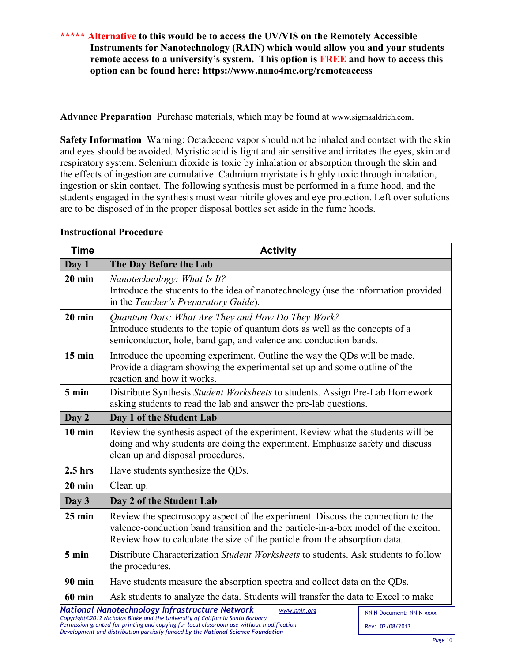# **\*\*\*\*\* Alternative to this would be to access the UV/VIS on the Remotely Accessible Instruments for Nanotechnology (RAIN) which would allow you and your students remote access to a university's system. This option is FREE and how to access this option can be found here: https://www.nano4me.org/remoteaccess**

**Advance Preparation** Purchase materials, which may be found at www.sigmaaldrich.com.

**Safety Information** Warning: Octadecene vapor should not be inhaled and contact with the skin and eyes should be avoided. Myristic acid is light and air sensitive and irritates the eyes, skin and respiratory system. Selenium dioxide is toxic by inhalation or absorption through the skin and the effects of ingestion are cumulative. Cadmium myristate is highly toxic through inhalation, ingestion or skin contact. The following synthesis must be performed in a fume hood, and the students engaged in the synthesis must wear nitrile gloves and eye protection. Left over solutions are to be disposed of in the proper disposal bottles set aside in the fume hoods.

| <b>Time</b>   | <b>Activity</b>                                                                                                                                                                                                                                     |  |  |  |
|---------------|-----------------------------------------------------------------------------------------------------------------------------------------------------------------------------------------------------------------------------------------------------|--|--|--|
| Day 1         | The Day Before the Lab                                                                                                                                                                                                                              |  |  |  |
| $20$ min      | Nanotechnology: What Is It?<br>Introduce the students to the idea of nanotechnology (use the information provided<br>in the Teacher's Preparatory Guide).                                                                                           |  |  |  |
| $20$ min      | Quantum Dots: What Are They and How Do They Work?<br>Introduce students to the topic of quantum dots as well as the concepts of a<br>semiconductor, hole, band gap, and valence and conduction bands.                                               |  |  |  |
| $15$ min      | Introduce the upcoming experiment. Outline the way the QDs will be made.<br>Provide a diagram showing the experimental set up and some outline of the<br>reaction and how it works.                                                                 |  |  |  |
| 5 min         | Distribute Synthesis Student Worksheets to students. Assign Pre-Lab Homework<br>asking students to read the lab and answer the pre-lab questions.                                                                                                   |  |  |  |
| Day 2         | Day 1 of the Student Lab                                                                                                                                                                                                                            |  |  |  |
| $10$ min      | Review the synthesis aspect of the experiment. Review what the students will be<br>doing and why students are doing the experiment. Emphasize safety and discuss<br>clean up and disposal procedures.                                               |  |  |  |
| $2.5$ hrs     | Have students synthesize the QDs.                                                                                                                                                                                                                   |  |  |  |
| $20$ min      | Clean up.                                                                                                                                                                                                                                           |  |  |  |
| Day 3         | Day 2 of the Student Lab                                                                                                                                                                                                                            |  |  |  |
| $25$ min      | Review the spectroscopy aspect of the experiment. Discuss the connection to the<br>valence-conduction band transition and the particle-in-a-box model of the exciton.<br>Review how to calculate the size of the particle from the absorption data. |  |  |  |
| 5 min         | Distribute Characterization Student Worksheets to students. Ask students to follow<br>the procedures.                                                                                                                                               |  |  |  |
| <b>90 min</b> | Have students measure the absorption spectra and collect data on the QDs.                                                                                                                                                                           |  |  |  |
| 60 min        | Ask students to analyze the data. Students will transfer the data to Excel to make                                                                                                                                                                  |  |  |  |
|               | National Nanotechnology Infrastructure Network<br>www.nnin.org<br>NNIN Document: NNIN-xxxx                                                                                                                                                          |  |  |  |

## **Instructional Procedure**

*Copyright©2012 Nicholas Blake and the University of California Santa Barbara Permission granted for printing and copying for local classroom use without modification Development and distribution partially funded by the National Science Foundation*

NNIN Document: NNIN-xxxx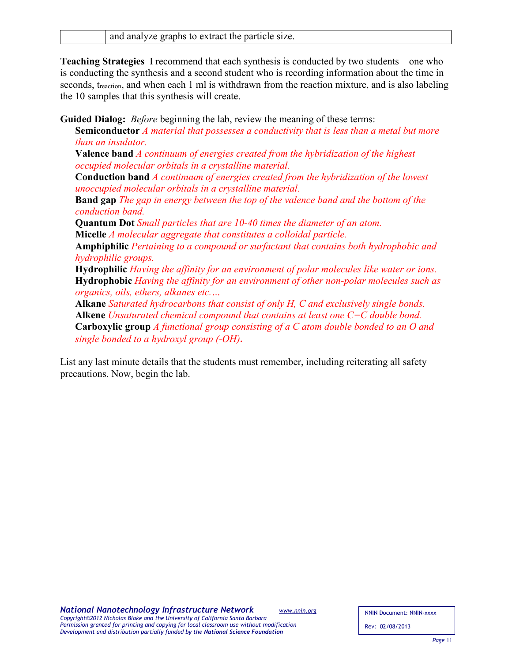**Teaching Strategies** I recommend that each synthesis is conducted by two students—one who is conducting the synthesis and a second student who is recording information about the time in seconds, t<sub>reaction</sub>, and when each 1 ml is withdrawn from the reaction mixture, and is also labeling the 10 samples that this synthesis will create.

**Guided Dialog:** *Before* beginning the lab, review the meaning of these terms:

**Semiconductor** *A material that possesses a conductivity that is less than a metal but more than an insulator.*

**Valence band** *A continuum of energies created from the hybridization of the highest occupied molecular orbitals in a crystalline material.*

**Conduction band** *A continuum of energies created from the hybridization of the lowest unoccupied molecular orbitals in a crystalline material.*

**Band gap** *The gap in energy between the top of the valence band and the bottom of the conduction band.*

**Quantum Dot** *Small particles that are 10-40 times the diameter of an atom.* **Micelle** *A molecular aggregate that constitutes a colloidal particle.*

**Amphiphilic** *Pertaining to a compound or surfactant that contains both hydrophobic and hydrophilic groups.*

**Hydrophilic** *Having the affinity for an environment of polar molecules like water or ions.* **Hydrophobic** *Having the affinity for an environment of other non-polar molecules such as organics, oils, ethers, alkanes etc.…*

**Alkane** *Saturated hydrocarbons that consist of only H, C and exclusively single bonds.* **Alkene** *Unsaturated chemical compound that contains at least one C=C double bond.* **Carboxylic group** *A functional group consisting of a C atom double bonded to an O and single bonded to a hydroxyl group (-OH).*

List any last minute details that the students must remember, including reiterating all safety precautions. Now, begin the lab.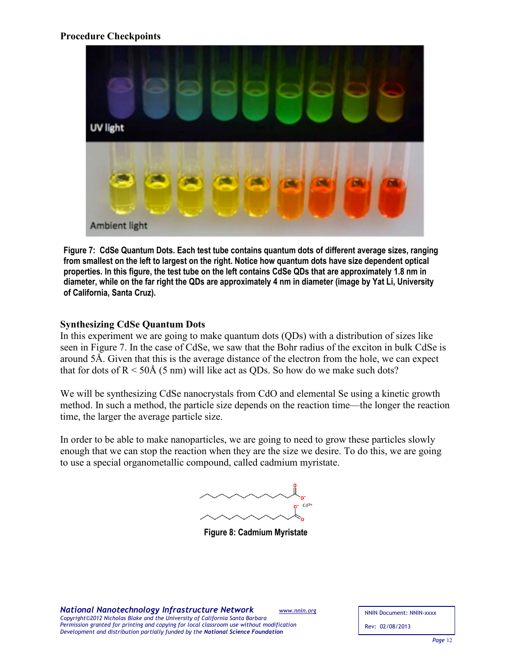## **Procedure Checkpoints**



**Figure 7: CdSe Quantum Dots. Each test tube contains quantum dots of different average sizes, ranging from smallest on the left to largest on the right. Notice how quantum dots have size dependent optical properties. In this figure, the test tube on the left contains CdSe QDs that are approximately 1.8 nm in diameter, while on the far right the QDs are approximately 4 nm in diameter (image by Yat Li, University of California, Santa Cruz).**

### **Synthesizing CdSe Quantum Dots**

In this experiment we are going to make quantum dots (QDs) with a distribution of sizes like seen in Figure 7. In the case of CdSe, we saw that the Bohr radius of the exciton in bulk CdSe is around 5Å. Given that this is the average distance of the electron from the hole, we can expect that for dots of  $R < 50$ Å (5 nm) will like act as QDs. So how do we make such dots?

We will be synthesizing CdSe nanocrystals from CdO and elemental Se using a kinetic growth method. In such a method, the particle size depends on the reaction time—the longer the reaction time, the larger the average particle size.

In order to be able to make nanoparticles, we are going to need to grow these particles slowly enough that we can stop the reaction when they are the size we desire. To do this, we are going to use a special organometallic compound, called cadmium myristate.

 $Cd<sup>2+</sup>$ 

**Figure 8: Cadmium Myristate**

*National Nanotechnology Infrastructure Network [www.nnin.org](http://www.nnin.org/) Copyright©2012 Nicholas Blake and the University of California Santa Barbara Permission granted for printing and copying for local classroom use without modification Development and distribution partially funded by the National Science Foundation*

NNIN Document: NNIN-xxxx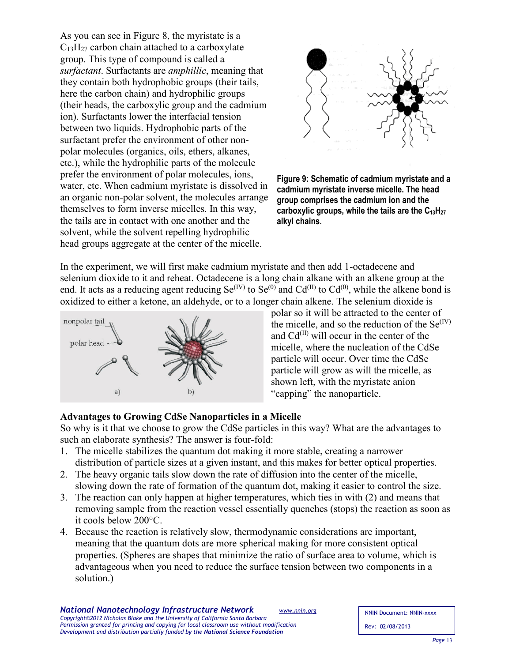As you can see in Figure 8, the myristate is a  $C_{13}H_{27}$  carbon chain attached to a carboxylate group. This type of compound is called a *surfactant*. Surfactants are *amphillic*, meaning that they contain both hydrophobic groups (their tails, here the carbon chain) and hydrophilic groups (their heads, the carboxylic group and the cadmium ion). Surfactants lower the interfacial tension between two liquids. Hydrophobic parts of the surfactant prefer the environment of other nonpolar molecules (organics, oils, ethers, alkanes, etc.), while the hydrophilic parts of the molecule prefer the environment of polar molecules, ions, water, etc. When cadmium myristate is dissolved in an organic non-polar solvent, the molecules arrange themselves to form inverse micelles. In this way, the tails are in contact with one another and the solvent, while the solvent repelling hydrophilic head groups aggregate at the center of the micelle.



**Figure 9: Schematic of cadmium myristate and a cadmium myristate inverse micelle. The head group comprises the cadmium ion and the**  carboxylic groups, while the tails are the C<sub>13</sub>H<sub>27</sub> **alkyl chains.**

In the experiment, we will first make cadmium myristate and then add 1-octadecene and selenium dioxide to it and reheat. Octadecene is a long chain alkane with an alkene group at the end. It acts as a reducing agent reducing  $Se^{(IV)}$  to  $Se^{(0)}$  and  $Cd^{(II)}$  to  $Cd^{(0)}$ , while the alkene bond is oxidized to either a ketone, an aldehyde, or to a longer chain alkene. The selenium dioxide is



polar so it will be attracted to the center of the micelle, and so the reduction of the  $Se^{(IV)}$ and  $Cd^{(II)}$  will occur in the center of the micelle, where the nucleation of the CdSe particle will occur. Over time the CdSe particle will grow as will the micelle, as shown left, with the myristate anion "capping" the nanoparticle.

### **Advantages to Growing CdSe Nanoparticles in a Micelle**

So why is it that we choose to grow the CdSe particles in this way? What are the advantages to such an elaborate synthesis? The answer is four-fold:

- 1. The micelle stabilizes the quantum dot making it more stable, creating a narrower distribution of particle sizes at a given instant, and this makes for better optical properties.
- 2. The heavy organic tails slow down the rate of diffusion into the center of the micelle, slowing down the rate of formation of the quantum dot, making it easier to control the size.
- 3. The reaction can only happen at higher temperatures, which ties in with (2) and means that removing sample from the reaction vessel essentially quenches (stops) the reaction as soon as it cools below 200°C.
- 4. Because the reaction is relatively slow, thermodynamic considerations are important, meaning that the quantum dots are more spherical making for more consistent optical properties. (Spheres are shapes that minimize the ratio of surface area to volume, which is advantageous when you need to reduce the surface tension between two components in a solution.)

NNIN Document: NNIN-xxxx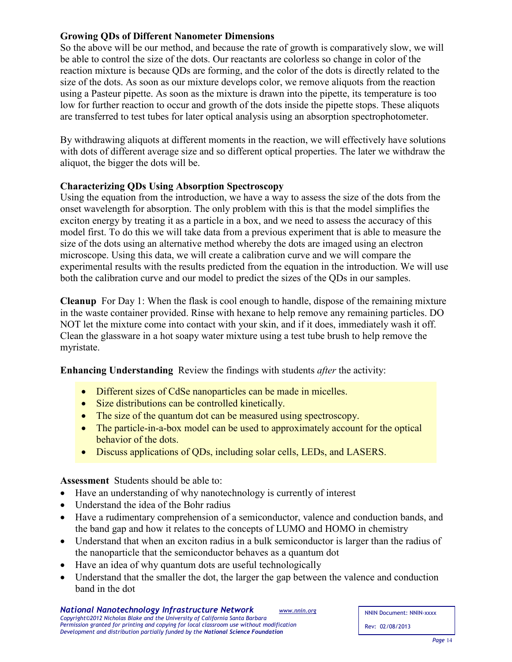# **Growing QDs of Different Nanometer Dimensions**

So the above will be our method, and because the rate of growth is comparatively slow, we will be able to control the size of the dots. Our reactants are colorless so change in color of the reaction mixture is because QDs are forming, and the color of the dots is directly related to the size of the dots. As soon as our mixture develops color, we remove aliquots from the reaction using a Pasteur pipette. As soon as the mixture is drawn into the pipette, its temperature is too low for further reaction to occur and growth of the dots inside the pipette stops. These aliquots are transferred to test tubes for later optical analysis using an absorption spectrophotometer.

By withdrawing aliquots at different moments in the reaction, we will effectively have solutions with dots of different average size and so different optical properties. The later we withdraw the aliquot, the bigger the dots will be.

# **Characterizing QDs Using Absorption Spectroscopy**

Using the equation from the introduction, we have a way to assess the size of the dots from the onset wavelength for absorption. The only problem with this is that the model simplifies the exciton energy by treating it as a particle in a box, and we need to assess the accuracy of this model first. To do this we will take data from a previous experiment that is able to measure the size of the dots using an alternative method whereby the dots are imaged using an electron microscope. Using this data, we will create a calibration curve and we will compare the experimental results with the results predicted from the equation in the introduction. We will use both the calibration curve and our model to predict the sizes of the QDs in our samples.

**Cleanup** For Day 1: When the flask is cool enough to handle, dispose of the remaining mixture in the waste container provided. Rinse with hexane to help remove any remaining particles. DO NOT let the mixture come into contact with your skin, and if it does, immediately wash it off. Clean the glassware in a hot soapy water mixture using a test tube brush to help remove the myristate.

**Enhancing Understanding** Review the findings with students *after* the activity:

- Different sizes of CdSe nanoparticles can be made in micelles.
- Size distributions can be controlled kinetically.
- The size of the quantum dot can be measured using spectroscopy.
- The particle-in-a-box model can be used to approximately account for the optical behavior of the dots.
- Discuss applications of QDs, including solar cells, LEDs, and LASERS.

**Assessment** Students should be able to:

- Have an understanding of why nanotechnology is currently of interest
- Understand the idea of the Bohr radius
- Have a rudimentary comprehension of a semiconductor, valence and conduction bands, and the band gap and how it relates to the concepts of LUMO and HOMO in chemistry
- Understand that when an exciton radius in a bulk semiconductor is larger than the radius of the nanoparticle that the semiconductor behaves as a quantum dot
- Have an idea of why quantum dots are useful technologically
- Understand that the smaller the dot, the larger the gap between the valence and conduction band in the dot

NNIN Document: NNIN-xxxx